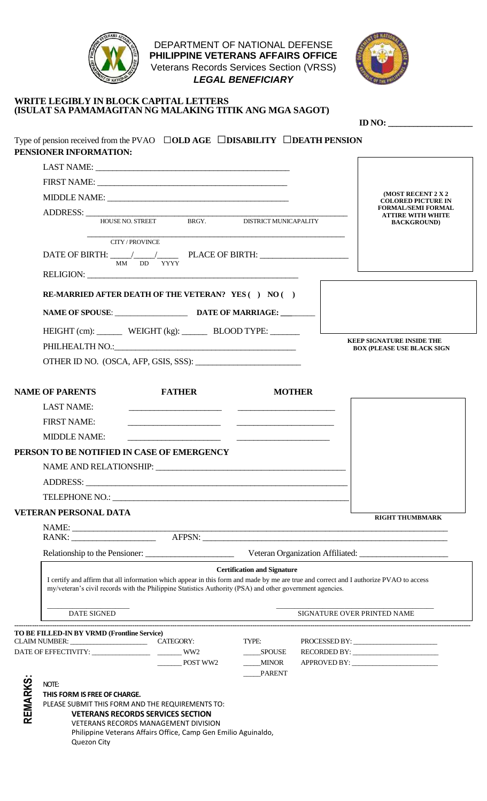

DEPARTMENT OF NATIONAL DEFENSE **PHILIPPINE VETERANS AFFAIRS OFFICE** Veterans Records Services Section (VRSS) *LEGAL BENEFICIARY*



#### **WRITE LEGIBLY IN BLOCK CAPITAL LETTERS (ISULAT SA PAMAMAGITAN NG MALAKING TITIK ANG MGA SAGOT)**

|         |                                                                                                                                                                                                                                                                                                                              |                                                                                                                                                                                                                                      |                                                |               | <b>ID NO:</b>                                          |
|---------|------------------------------------------------------------------------------------------------------------------------------------------------------------------------------------------------------------------------------------------------------------------------------------------------------------------------------|--------------------------------------------------------------------------------------------------------------------------------------------------------------------------------------------------------------------------------------|------------------------------------------------|---------------|--------------------------------------------------------|
|         | Type of pension received from the PVAO $\Box$ OLD AGE $\Box$ DISABILITY $\Box$ DEATH PENSION<br>PENSIONER INFORMATION:                                                                                                                                                                                                       |                                                                                                                                                                                                                                      |                                                |               |                                                        |
|         |                                                                                                                                                                                                                                                                                                                              |                                                                                                                                                                                                                                      |                                                |               |                                                        |
|         |                                                                                                                                                                                                                                                                                                                              |                                                                                                                                                                                                                                      |                                                |               |                                                        |
|         |                                                                                                                                                                                                                                                                                                                              |                                                                                                                                                                                                                                      |                                                |               | (MOST RECENT 2 X 2                                     |
|         |                                                                                                                                                                                                                                                                                                                              |                                                                                                                                                                                                                                      |                                                |               | <b>COLORED PICTURE IN</b><br><b>FORMAL/SEMI FORMAL</b> |
|         | ADDRESS: HOUSE NO. STREET BRGY. DISTRICT MUNICAPALITY                                                                                                                                                                                                                                                                        |                                                                                                                                                                                                                                      |                                                |               | <b>ATTIRE WITH WHITE</b><br><b>BACKGROUND</b> )        |
|         | <b>CITY/PROVINCE</b>                                                                                                                                                                                                                                                                                                         | MM DD YYYY                                                                                                                                                                                                                           |                                                |               |                                                        |
|         |                                                                                                                                                                                                                                                                                                                              |                                                                                                                                                                                                                                      |                                                |               |                                                        |
|         | RE-MARRIED AFTER DEATH OF THE VETERAN? YES ( ) NO ( )<br>NAME OF SPOUSE: DATE OF MARRIAGE:                                                                                                                                                                                                                                   |                                                                                                                                                                                                                                      |                                                |               |                                                        |
|         |                                                                                                                                                                                                                                                                                                                              |                                                                                                                                                                                                                                      |                                                |               |                                                        |
|         | HEIGHT (cm): WEIGHT (kg): BLOOD TYPE: _____                                                                                                                                                                                                                                                                                  |                                                                                                                                                                                                                                      |                                                |               | <b>KEEP SIGNATURE INSIDE THE</b>                       |
|         |                                                                                                                                                                                                                                                                                                                              |                                                                                                                                                                                                                                      |                                                |               | <b>BOX (PLEASE USE BLACK SIGN</b>                      |
|         | OTHER ID NO. (OSCA, AFP, GSIS, SSS):                                                                                                                                                                                                                                                                                         |                                                                                                                                                                                                                                      |                                                |               |                                                        |
|         | <b>NAME OF PARENTS</b>                                                                                                                                                                                                                                                                                                       | <b>FATHER</b>                                                                                                                                                                                                                        |                                                | <b>MOTHER</b> |                                                        |
|         | <b>LAST NAME:</b>                                                                                                                                                                                                                                                                                                            |                                                                                                                                                                                                                                      |                                                |               |                                                        |
|         | <b>FIRST NAME:</b>                                                                                                                                                                                                                                                                                                           | <u>and the control of the control of the control of the control of the control of the control of the control of the control of the control of the control of the control of the control of the control of the control of the con</u> |                                                |               |                                                        |
|         | <b>MIDDLE NAME:</b>                                                                                                                                                                                                                                                                                                          |                                                                                                                                                                                                                                      |                                                |               |                                                        |
|         | PERSON TO BE NOTIFIED IN CASE OF EMERGENCY                                                                                                                                                                                                                                                                                   |                                                                                                                                                                                                                                      |                                                |               |                                                        |
|         | NAME AND RELATIONSHIP:                                                                                                                                                                                                                                                                                                       |                                                                                                                                                                                                                                      |                                                |               |                                                        |
|         |                                                                                                                                                                                                                                                                                                                              |                                                                                                                                                                                                                                      |                                                |               |                                                        |
|         | ADDRESS:                                                                                                                                                                                                                                                                                                                     | <u> 1989 - Johann Stein, marwolaethau a bhann an t-Amhain an t-Amhain an t-Amhain an t-Amhain an t-Amhain an t-A</u>                                                                                                                 |                                                |               |                                                        |
|         | TELEPHONE NO.: THE SERVICE SERVICE SERVICE SERVICE SERVICE SERVICE SERVICE SERVICE SERVICE SERVICE SERVICE SERVICE SERVICE SERVICE SERVICE SERVICE SERVICE SERVICE SERVICE SERVICE SERVICE SERVICE SERVICE SERVICE SERVICE SER                                                                                               |                                                                                                                                                                                                                                      |                                                |               |                                                        |
|         | <b>VETERAN PERSONAL DATA</b>                                                                                                                                                                                                                                                                                                 |                                                                                                                                                                                                                                      |                                                |               | <b>RIGHT THUMBMARK</b>                                 |
|         |                                                                                                                                                                                                                                                                                                                              |                                                                                                                                                                                                                                      |                                                |               |                                                        |
|         |                                                                                                                                                                                                                                                                                                                              |                                                                                                                                                                                                                                      |                                                |               |                                                        |
|         | Veteran Organization Affiliated:<br><b>Certification and Signature</b><br>I certify and affirm that all information which appear in this form and made by me are true and correct and I authorize PVAO to access<br>my/veteran's civil records with the Philippine Statistics Authority (PSA) and other government agencies. |                                                                                                                                                                                                                                      |                                                |               |                                                        |
|         |                                                                                                                                                                                                                                                                                                                              |                                                                                                                                                                                                                                      |                                                |               |                                                        |
|         | DATE SIGNED                                                                                                                                                                                                                                                                                                                  |                                                                                                                                                                                                                                      |                                                |               | SIGNATURE OVER PRINTED NAME                            |
|         | TO BE FILLED-IN BY VRMD (Frontline Service)                                                                                                                                                                                                                                                                                  |                                                                                                                                                                                                                                      |                                                |               |                                                        |
|         | CLAIM NUMBER: CLAIM NUMBER:                                                                                                                                                                                                                                                                                                  |                                                                                                                                                                                                                                      | TYPE:                                          |               | PROCESSED BY:                                          |
|         |                                                                                                                                                                                                                                                                                                                              | POST WW2                                                                                                                                                                                                                             | <b>SPOUSE</b><br><b>MINOR</b><br><b>PARENT</b> |               |                                                        |
|         | NOTE:                                                                                                                                                                                                                                                                                                                        |                                                                                                                                                                                                                                      |                                                |               |                                                        |
| REMARKS | THIS FORM IS FREE OF CHARGE.                                                                                                                                                                                                                                                                                                 |                                                                                                                                                                                                                                      |                                                |               |                                                        |
|         | PLEASE SUBMIT THIS FORM AND THE REQUIREMENTS TO:                                                                                                                                                                                                                                                                             |                                                                                                                                                                                                                                      |                                                |               |                                                        |
|         | <b>VETERANS RECORDS SERVICES SECTION</b><br>VETERANS RECORDS MANAGEMENT DIVISION                                                                                                                                                                                                                                             |                                                                                                                                                                                                                                      |                                                |               |                                                        |
|         | Quezon City                                                                                                                                                                                                                                                                                                                  | Philippine Veterans Affairs Office, Camp Gen Emilio Aguinaldo,                                                                                                                                                                       |                                                |               |                                                        |